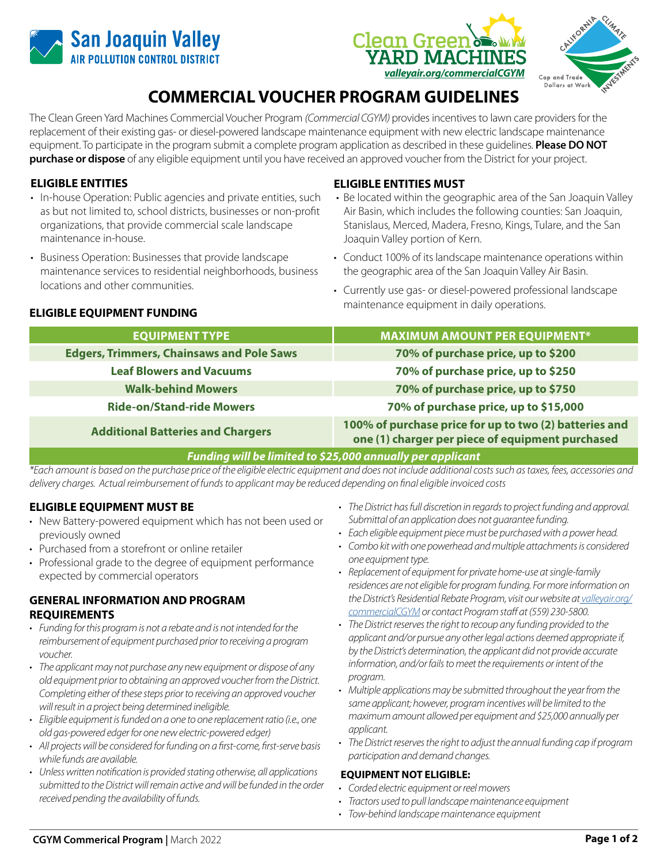





# **COMMERCIAL VOUCHER PROGRAM GUIDELINES**

The Clean Green Yard Machines Commercial Voucher Program *(Commercial CGYM)* provides incentives to lawn care providers for the replacement of their existing gas- or diesel-powered landscape maintenance equipment with new electric landscape maintenance equipment. To participate in the program submit a complete program application as described in these guidelines. **Please DO NOT purchase or dispose** of any eligible equipment until you have received an approved voucher from the District for your project.

# **ELIGIBLE ENTITIES**

- In-house Operation: Public agencies and private entities, such as but not limited to, school districts, businesses or non-profit organizations, that provide commercial scale landscape maintenance in-house.
- Business Operation: Businesses that provide landscape maintenance services to residential neighborhoods, business locations and other communities.

# **ELIGIBLE ENTITIES MUST**

- Be located within the geographic area of the San Joaquin Valley Air Basin, which includes the following counties: San Joaquin, Stanislaus, Merced, Madera, Fresno, Kings, Tulare, and the San Joaquin Valley portion of Kern.
- Conduct 100% of its landscape maintenance operations within the geographic area of the San Joaquin Valley Air Basin.
- Currently use gas- or diesel-powered professional landscape maintenance equipment in daily operations. **ELIGIBLE EQUIPMENT FUNDING**

| <b>EQUIPMENT TYPE</b>                            | <b>MAXIMUM AMOUNT PER EQUIPMENT*</b>                                                                       |
|--------------------------------------------------|------------------------------------------------------------------------------------------------------------|
| <b>Edgers, Trimmers, Chainsaws and Pole Saws</b> | 70% of purchase price, up to \$200                                                                         |
| <b>Leaf Blowers and Vacuums</b>                  | 70% of purchase price, up to \$250                                                                         |
| <b>Walk-behind Mowers</b>                        | 70% of purchase price, up to \$750                                                                         |
| <b>Ride-on/Stand-ride Mowers</b>                 | 70% of purchase price, up to \$15,000                                                                      |
| <b>Additional Batteries and Chargers</b>         | 100% of purchase price for up to two (2) batteries and<br>one (1) charger per piece of equipment purchased |
|                                                  |                                                                                                            |

*Funding will be limited to \$25,000 annually per applicant*

*\*Each amount is based on the purchase price of the eligible electric equipment and does not include additional costs such as taxes, fees, accessories and delivery charges. Actual reimbursement of funds to applicant may be reduced depending on final eligible invoiced costs*

# **ELIGIBLE EQUIPMENT MUST BE**

- New Battery-powered equipment which has not been used or previously owned
- Purchased from a storefront or online retailer
- Professional grade to the degree of equipment performance expected by commercial operators

# **GENERAL INFORMATION AND PROGRAM REQUIREMENTS**

- *• Funding for this program is not a rebate and is not intended for the reimbursement of equipment purchased prior to receiving a program voucher.*
- *• The applicant may not purchase any new equipment or dispose of any old equipment prior to obtaining an approved voucher from the District. Completing either of these steps prior to receiving an approved voucher will result in a project being determined ineligible.*
- *• Eligible equipment is funded on a one to one replacement ratio (i.e., one old gas-powered edger for one new electric-powered edger)*
- *• All projects will be considered for funding on a first-come, first-serve basis while funds are available.*
- *• Unless written notification is provided stating otherwise, all applications submitted to the District will remain active and will be funded in the order received pending the availability of funds.*
- *• The District has full discretion in regards to project funding and approval. Submittal of an application does not guarantee funding.*
- *• Each eligible equipment piece must be purchased with a power head.*
- *• Combo kit with one powerhead and multiple attachments is considered one equipment type.*
- *• Replacement of equipment for private home-use at single-family residences are not eligible for program funding. For more information on the District's Residential Rebate Program, visit our website at [valleyair.org/](http://valleyair.org/commercialCGYM) [commercialCGYM](http://valleyair.org/commercialCGYM) or contact Program staff at (559) 230-5800.*
- *• The District reserves the right to recoup any funding provided to the applicant and/or pursue any other legal actions deemed appropriate if, by the District's determination, the applicant did not provide accurate information, and/or fails to meet the requirements or intent of the program.*
- *• Multiple applications may be submitted throughout the year from the same applicant; however, program incentives will be limited to the maximum amount allowed per equipment and \$25,000 annually per applicant.*
- *• The District reserves the right to adjust the annual funding cap if program participation and demand changes.*

#### **EQUIPMENT NOT ELIGIBLE:**

- *• Corded electric equipment or reel mowers*
- *• Tractors used to pull landscape maintenance equipment*
- *• Tow-behind landscape maintenance equipment*